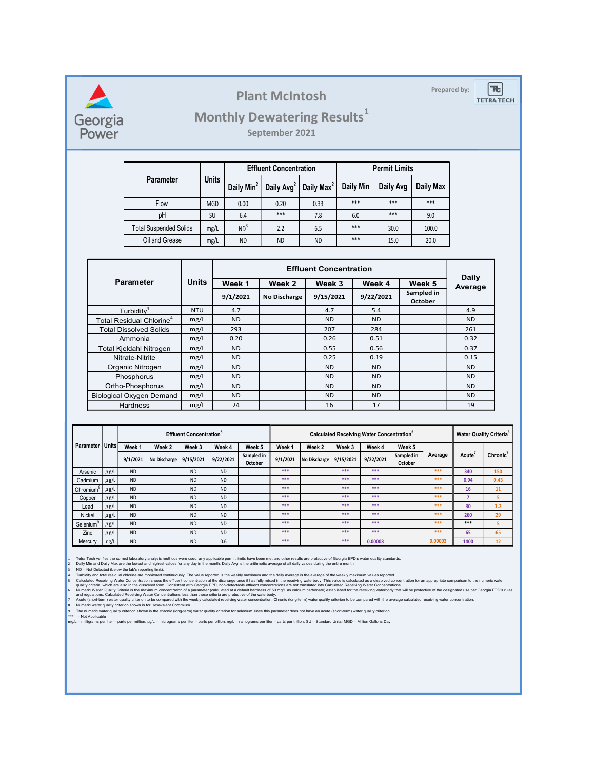

### Plant McIntosh **Prepared by:**

### Monthly Dewatering Results<sup>1</sup>

|          |                               |              |                            |                 | <b>Plant McIntosh</b>                                                    |                               |                      |                      |              | Prepared by: | $\left\lceil \mathbf{t} \right\rceil$<br><b>TETRA TECH</b> |
|----------|-------------------------------|--------------|----------------------------|-----------------|--------------------------------------------------------------------------|-------------------------------|----------------------|----------------------|--------------|--------------|------------------------------------------------------------|
|          |                               |              |                            |                 | <b>Monthly Dewatering Results1</b>                                       |                               |                      |                      |              |              |                                                            |
|          |                               |              |                            |                 | September 2021                                                           |                               |                      |                      |              |              |                                                            |
|          |                               |              |                            |                 | <b>Effluent Concentration</b>                                            |                               |                      | <b>Permit Limits</b> |              |              |                                                            |
|          | Parameter                     |              | <b>Units</b>               |                 | Daily Min <sup>2</sup>   Daily Avg <sup>2</sup>   Daily Max <sup>2</sup> |                               | Daily Min            | Daily Avg            | Daily Max    |              |                                                            |
|          | Flow                          |              | MGD                        | $0.00\,$        | 0.20                                                                     | 0.33                          | $***$                | $***$                | $***$        |              |                                                            |
|          | pH                            |              | SU                         | 6.4             | $***$                                                                    | 7.8                           | 6.0                  | $***$                | 9.0          |              |                                                            |
|          | <b>Total Suspended Solids</b> |              | mg/L                       | ND <sup>3</sup> | 2.2                                                                      | 6.5                           | ***                  | 30.0                 | 100.0        |              |                                                            |
|          | Oil and Grease                |              | mg/L                       | <b>ND</b>       | <b>ND</b>                                                                | <b>ND</b>                     | $***$                | 15.0                 | 20.0         |              |                                                            |
|          |                               |              |                            |                 |                                                                          |                               |                      |                      |              |              |                                                            |
|          |                               |              |                            |                 |                                                                          | <b>Effluent Concentration</b> |                      |                      | <b>Daily</b> |              |                                                            |
| arameter |                               | <b>Units</b> | Week 1<br>Week 2<br>Week 3 |                 |                                                                          | Week 4                        | Week 5<br>Sampled in | Average              |              |              |                                                            |
|          |                               |              |                            | 9/1/2021        | <b>No Discharge</b>                                                      | 9/15/2021                     |                      | 9/22/2021            | October      |              |                                                            |
|          | Turbiditv <sup>4</sup>        | <b>NTU</b>   |                            | 4.7             |                                                                          | 4.7                           |                      | 5.4                  |              | 4.9          |                                                            |

|                                                      |                        |                                          |                                                                                                                                                                                           |                                            |                                        |                 |                      | <b>Plant McIntosh</b>                                                                                                                                                                                                                                                                                                                                                                                                                                                                                                                                                                                                                                                                                                                                                                                                                                                                                                                                                                                                                                                                                                                                                                                                                                                                                                                                                                                                                                                                                                                                                                                                                                                 |                                             |                                                       |                     |                      |                       | Prepared by:         | <b>Tt</b><br><b>TETRATECH</b>       |
|------------------------------------------------------|------------------------|------------------------------------------|-------------------------------------------------------------------------------------------------------------------------------------------------------------------------------------------|--------------------------------------------|----------------------------------------|-----------------|----------------------|-----------------------------------------------------------------------------------------------------------------------------------------------------------------------------------------------------------------------------------------------------------------------------------------------------------------------------------------------------------------------------------------------------------------------------------------------------------------------------------------------------------------------------------------------------------------------------------------------------------------------------------------------------------------------------------------------------------------------------------------------------------------------------------------------------------------------------------------------------------------------------------------------------------------------------------------------------------------------------------------------------------------------------------------------------------------------------------------------------------------------------------------------------------------------------------------------------------------------------------------------------------------------------------------------------------------------------------------------------------------------------------------------------------------------------------------------------------------------------------------------------------------------------------------------------------------------------------------------------------------------------------------------------------------------|---------------------------------------------|-------------------------------------------------------|---------------------|----------------------|-----------------------|----------------------|-------------------------------------|
| Georgia<br>Power                                     |                        |                                          |                                                                                                                                                                                           |                                            |                                        |                 |                      | <b>Monthly Dewatering Results1</b><br>September 2021                                                                                                                                                                                                                                                                                                                                                                                                                                                                                                                                                                                                                                                                                                                                                                                                                                                                                                                                                                                                                                                                                                                                                                                                                                                                                                                                                                                                                                                                                                                                                                                                                  |                                             |                                                       |                     |                      |                       |                      |                                     |
|                                                      |                        |                                          |                                                                                                                                                                                           |                                            |                                        |                 |                      | <b>Effluent Concentration</b>                                                                                                                                                                                                                                                                                                                                                                                                                                                                                                                                                                                                                                                                                                                                                                                                                                                                                                                                                                                                                                                                                                                                                                                                                                                                                                                                                                                                                                                                                                                                                                                                                                         |                                             |                                                       |                     | <b>Permit Limits</b> |                       |                      |                                     |
|                                                      |                        |                                          | <b>Parameter</b>                                                                                                                                                                          |                                            | <b>Units</b>                           |                 |                      | Daily Min <sup>2</sup>   Daily Avg <sup>2</sup>   Daily Max <sup>2</sup>                                                                                                                                                                                                                                                                                                                                                                                                                                                                                                                                                                                                                                                                                                                                                                                                                                                                                                                                                                                                                                                                                                                                                                                                                                                                                                                                                                                                                                                                                                                                                                                              |                                             | Daily Min                                             |                     | Daily Avg            | <b>Daily Max</b>      |                      |                                     |
|                                                      |                        |                                          | Flow                                                                                                                                                                                      |                                            | MGD                                    | 0.00            |                      | 0.20                                                                                                                                                                                                                                                                                                                                                                                                                                                                                                                                                                                                                                                                                                                                                                                                                                                                                                                                                                                                                                                                                                                                                                                                                                                                                                                                                                                                                                                                                                                                                                                                                                                                  | 0.33                                        | ***                                                   |                     | $***$                | ***                   |                      |                                     |
|                                                      |                        |                                          | pH                                                                                                                                                                                        |                                            | <b>SU</b>                              |                 | 6.4                  | ***                                                                                                                                                                                                                                                                                                                                                                                                                                                                                                                                                                                                                                                                                                                                                                                                                                                                                                                                                                                                                                                                                                                                                                                                                                                                                                                                                                                                                                                                                                                                                                                                                                                                   | 7.8                                         | 6.0                                                   |                     | $***$                | 9.0                   |                      |                                     |
|                                                      |                        |                                          | <b>Total Suspended Solids</b>                                                                                                                                                             |                                            | mg/L                                   | ND <sup>3</sup> |                      | 2.2                                                                                                                                                                                                                                                                                                                                                                                                                                                                                                                                                                                                                                                                                                                                                                                                                                                                                                                                                                                                                                                                                                                                                                                                                                                                                                                                                                                                                                                                                                                                                                                                                                                                   | 6.5                                         | $***$                                                 |                     | 30.0                 | 100.0                 |                      |                                     |
|                                                      |                        |                                          | Oil and Grease                                                                                                                                                                            |                                            | mg/L                                   |                 | <b>ND</b>            | <b>ND</b>                                                                                                                                                                                                                                                                                                                                                                                                                                                                                                                                                                                                                                                                                                                                                                                                                                                                                                                                                                                                                                                                                                                                                                                                                                                                                                                                                                                                                                                                                                                                                                                                                                                             | <b>ND</b>                                   | ***                                                   |                     | 15.0                 | 20.0                  |                      |                                     |
|                                                      |                        |                                          |                                                                                                                                                                                           |                                            |                                        |                 |                      |                                                                                                                                                                                                                                                                                                                                                                                                                                                                                                                                                                                                                                                                                                                                                                                                                                                                                                                                                                                                                                                                                                                                                                                                                                                                                                                                                                                                                                                                                                                                                                                                                                                                       |                                             |                                                       |                     |                      |                       |                      |                                     |
|                                                      |                        |                                          |                                                                                                                                                                                           |                                            |                                        |                 |                      |                                                                                                                                                                                                                                                                                                                                                                                                                                                                                                                                                                                                                                                                                                                                                                                                                                                                                                                                                                                                                                                                                                                                                                                                                                                                                                                                                                                                                                                                                                                                                                                                                                                                       | <b>Effluent Concentration</b>               |                                                       |                     |                      |                       |                      |                                     |
|                                                      |                        | <b>Parameter</b>                         |                                                                                                                                                                                           | <b>Units</b>                               |                                        | Week 1          |                      | Week 2                                                                                                                                                                                                                                                                                                                                                                                                                                                                                                                                                                                                                                                                                                                                                                                                                                                                                                                                                                                                                                                                                                                                                                                                                                                                                                                                                                                                                                                                                                                                                                                                                                                                | Week 3                                      |                                                       | Week 4              |                      | Week 5                | Daily<br>Average     |                                     |
|                                                      |                        |                                          |                                                                                                                                                                                           |                                            |                                        | 9/1/2021        |                      | <b>No Discharge</b>                                                                                                                                                                                                                                                                                                                                                                                                                                                                                                                                                                                                                                                                                                                                                                                                                                                                                                                                                                                                                                                                                                                                                                                                                                                                                                                                                                                                                                                                                                                                                                                                                                                   | 9/15/2021                                   |                                                       | 9/22/2021           |                      | Sampled in<br>October |                      |                                     |
|                                                      |                        | Turbidity <sup>4</sup>                   |                                                                                                                                                                                           | <b>NTU</b>                                 |                                        | 4.7             |                      |                                                                                                                                                                                                                                                                                                                                                                                                                                                                                                                                                                                                                                                                                                                                                                                                                                                                                                                                                                                                                                                                                                                                                                                                                                                                                                                                                                                                                                                                                                                                                                                                                                                                       | 4.7                                         |                                                       | 5.4                 |                      |                       | 4.9                  |                                     |
|                                                      |                        | Total Residual Chlorine <sup>4</sup>     |                                                                                                                                                                                           | mg/L                                       |                                        | <b>ND</b>       |                      |                                                                                                                                                                                                                                                                                                                                                                                                                                                                                                                                                                                                                                                                                                                                                                                                                                                                                                                                                                                                                                                                                                                                                                                                                                                                                                                                                                                                                                                                                                                                                                                                                                                                       | <b>ND</b>                                   |                                                       | <b>ND</b>           |                      |                       | <b>ND</b>            |                                     |
|                                                      |                        | <b>Total Dissolved Solids</b><br>Ammonia |                                                                                                                                                                                           | mg/L<br>mg/L                               |                                        | 293<br>0.20     |                      |                                                                                                                                                                                                                                                                                                                                                                                                                                                                                                                                                                                                                                                                                                                                                                                                                                                                                                                                                                                                                                                                                                                                                                                                                                                                                                                                                                                                                                                                                                                                                                                                                                                                       | 207<br>0.26                                 |                                                       | 284<br>0.51         |                      |                       | 261<br>0.32          |                                     |
|                                                      |                        | Total Kjeldahl Nitrogen                  |                                                                                                                                                                                           | mg/L                                       |                                        | <b>ND</b>       |                      |                                                                                                                                                                                                                                                                                                                                                                                                                                                                                                                                                                                                                                                                                                                                                                                                                                                                                                                                                                                                                                                                                                                                                                                                                                                                                                                                                                                                                                                                                                                                                                                                                                                                       | 0.55                                        |                                                       | 0.56                |                      |                       | 0.37                 |                                     |
|                                                      |                        | Nitrate-Nitrite<br>Organic Nitrogen      |                                                                                                                                                                                           |                                            | mg/L<br><b>ND</b>                      |                 |                      |                                                                                                                                                                                                                                                                                                                                                                                                                                                                                                                                                                                                                                                                                                                                                                                                                                                                                                                                                                                                                                                                                                                                                                                                                                                                                                                                                                                                                                                                                                                                                                                                                                                                       | 0.25<br><b>ND</b>                           |                                                       | 0.19<br><b>ND</b>   |                      |                       | 0.15<br><b>ND</b>    |                                     |
|                                                      |                        | Phosphorus                               |                                                                                                                                                                                           |                                            | <b>ND</b><br>mg/L<br>mg/L<br><b>ND</b> |                 |                      |                                                                                                                                                                                                                                                                                                                                                                                                                                                                                                                                                                                                                                                                                                                                                                                                                                                                                                                                                                                                                                                                                                                                                                                                                                                                                                                                                                                                                                                                                                                                                                                                                                                                       | <b>ND</b>                                   |                                                       | <b>ND</b>           |                      |                       | <b>ND</b>            |                                     |
|                                                      |                        | Ortho-Phosphorus                         |                                                                                                                                                                                           | mg/L                                       |                                        | <b>ND</b>       |                      |                                                                                                                                                                                                                                                                                                                                                                                                                                                                                                                                                                                                                                                                                                                                                                                                                                                                                                                                                                                                                                                                                                                                                                                                                                                                                                                                                                                                                                                                                                                                                                                                                                                                       | <b>ND</b>                                   |                                                       | <b>ND</b>           |                      |                       | <b>ND</b>            |                                     |
|                                                      |                        |                                          | <b>Biological Oxygen Demand</b>                                                                                                                                                           | mg/L                                       |                                        | <b>ND</b>       |                      |                                                                                                                                                                                                                                                                                                                                                                                                                                                                                                                                                                                                                                                                                                                                                                                                                                                                                                                                                                                                                                                                                                                                                                                                                                                                                                                                                                                                                                                                                                                                                                                                                                                                       | <b>ND</b>                                   |                                                       | <b>ND</b>           |                      |                       | <b>ND</b>            |                                     |
|                                                      |                        | Hardness                                 |                                                                                                                                                                                           | mg/L                                       |                                        | 24              |                      |                                                                                                                                                                                                                                                                                                                                                                                                                                                                                                                                                                                                                                                                                                                                                                                                                                                                                                                                                                                                                                                                                                                                                                                                                                                                                                                                                                                                                                                                                                                                                                                                                                                                       | 16                                          |                                                       | 17                  |                      |                       | 19                   |                                     |
|                                                      |                        |                                          |                                                                                                                                                                                           |                                            |                                        |                 |                      |                                                                                                                                                                                                                                                                                                                                                                                                                                                                                                                                                                                                                                                                                                                                                                                                                                                                                                                                                                                                                                                                                                                                                                                                                                                                                                                                                                                                                                                                                                                                                                                                                                                                       |                                             |                                                       |                     |                      |                       |                      |                                     |
|                                                      |                        |                                          |                                                                                                                                                                                           | <b>Effluent Concentration</b> <sup>5</sup> |                                        |                 |                      |                                                                                                                                                                                                                                                                                                                                                                                                                                                                                                                                                                                                                                                                                                                                                                                                                                                                                                                                                                                                                                                                                                                                                                                                                                                                                                                                                                                                                                                                                                                                                                                                                                                                       |                                             | Calculated Receiving Water Concentration <sup>5</sup> |                     |                      |                       |                      | Water Quality Criteria <sup>6</sup> |
| Parameter Units                                      |                        | Week 1<br>9/1/2021                       | Week 2<br>No Discharge 9/15/2021                                                                                                                                                          | Week 3                                     | Week 4<br>9/22/2021                    |                 | Week 5<br>Sampled in | Week 1<br>9/1/2021                                                                                                                                                                                                                                                                                                                                                                                                                                                                                                                                                                                                                                                                                                                                                                                                                                                                                                                                                                                                                                                                                                                                                                                                                                                                                                                                                                                                                                                                                                                                                                                                                                                    | Week <sub>2</sub><br>No Discharge 9/15/2021 | Week 3                                                | Week 4<br>9/22/2021 | Week 5<br>Sampled in | Average               | Acute <sup>'</sup>   | Chronic <sup>7</sup>                |
| Arsenic                                              | $\mu$ g/L              | <b>ND</b>                                |                                                                                                                                                                                           | <b>ND</b>                                  | <b>ND</b>                              |                 | October              | $***$                                                                                                                                                                                                                                                                                                                                                                                                                                                                                                                                                                                                                                                                                                                                                                                                                                                                                                                                                                                                                                                                                                                                                                                                                                                                                                                                                                                                                                                                                                                                                                                                                                                                 |                                             | ***                                                   | $***$               | October              | ***                   | 340                  | 150                                 |
| Cadmium                                              | $\mu$ g/L              | <b>ND</b>                                |                                                                                                                                                                                           | <b>ND</b>                                  | <b>ND</b>                              |                 |                      | $***$                                                                                                                                                                                                                                                                                                                                                                                                                                                                                                                                                                                                                                                                                                                                                                                                                                                                                                                                                                                                                                                                                                                                                                                                                                                                                                                                                                                                                                                                                                                                                                                                                                                                 |                                             | $***$                                                 | $***$               |                      | ***                   | 0.94                 | 0.43                                |
| Chromium <sup>®</sup><br>Copper                      | $\mu$ g/L<br>$\mu$ g/L | <b>ND</b><br><b>ND</b>                   |                                                                                                                                                                                           | <b>ND</b><br><b>ND</b>                     | <b>ND</b><br><b>ND</b>                 |                 |                      | ***<br>***                                                                                                                                                                                                                                                                                                                                                                                                                                                                                                                                                                                                                                                                                                                                                                                                                                                                                                                                                                                                                                                                                                                                                                                                                                                                                                                                                                                                                                                                                                                                                                                                                                                            |                                             | ***<br>***                                            | ***<br>***          |                      | ***<br>***            | 16<br>$\overline{7}$ | 11<br>$-5$                          |
| Lead                                                 | $\mu$ g/L              | <b>ND</b>                                |                                                                                                                                                                                           | <b>ND</b>                                  | <b>ND</b>                              |                 |                      | ***                                                                                                                                                                                                                                                                                                                                                                                                                                                                                                                                                                                                                                                                                                                                                                                                                                                                                                                                                                                                                                                                                                                                                                                                                                                                                                                                                                                                                                                                                                                                                                                                                                                                   |                                             | ***                                                   | ***                 |                      | ***                   | 30                   | 1.2                                 |
| Nickel<br>Selenium                                   | $\mu$ g/L<br>$\mu$ g/L | <b>ND</b><br><b>ND</b>                   |                                                                                                                                                                                           | <b>ND</b><br><b>ND</b>                     | <b>ND</b><br><b>ND</b>                 |                 |                      | ***<br>***                                                                                                                                                                                                                                                                                                                                                                                                                                                                                                                                                                                                                                                                                                                                                                                                                                                                                                                                                                                                                                                                                                                                                                                                                                                                                                                                                                                                                                                                                                                                                                                                                                                            |                                             | ***<br>***                                            | ***<br>***          |                      | ***<br>***            | 260<br>$***$         | 29<br>5                             |
| Zinc                                                 | $\mu$ g/L              | <b>ND</b>                                |                                                                                                                                                                                           | <b>ND</b>                                  | <b>ND</b>                              |                 |                      | ***                                                                                                                                                                                                                                                                                                                                                                                                                                                                                                                                                                                                                                                                                                                                                                                                                                                                                                                                                                                                                                                                                                                                                                                                                                                                                                                                                                                                                                                                                                                                                                                                                                                                   |                                             | ***                                                   | ***                 |                      | ***                   | 65                   | 65                                  |
| Mercury                                              | ng/L                   | <b>ND</b>                                |                                                                                                                                                                                           | <b>ND</b>                                  | 0.6                                    |                 |                      | $***$                                                                                                                                                                                                                                                                                                                                                                                                                                                                                                                                                                                                                                                                                                                                                                                                                                                                                                                                                                                                                                                                                                                                                                                                                                                                                                                                                                                                                                                                                                                                                                                                                                                                 |                                             | $***$                                                 | 0.00008             |                      | 0.00003               | 1400                 | 12                                  |
| ND = Not Detected (below the lab's reporting limit). |                        |                                          | and regulations. Calculated Receiving Water Concentrations less than these criteria are protective of the waterbody.<br>Numeric water quality criterion shown is for Hexavalent Chromium. |                                            |                                        |                 |                      | Tetra Tech verifies the correct laboratory analysis methods were used, any applicable permit limits have been met and other results are protective of Georgia EPD's water quality standards.<br>Daily Min and Daily Max are the lowest and highest values for any day in the month. Daily Avg is the arithmetic average of all daily values during the entire month.<br>Turbidity and total residual chlorine are monitored continuously. The value reported is the weekly maximum and the daily average is the average of the weekly maximum values reported.<br>Calculated Receiving Water Concentration shows the effluent concentration at the discharge once it has fully mixed in the receiving waterbody. This value is calculated as a dissolved concentration for an appropriate compar<br>quality criteria, which are also in the dissolved form. Consistent with Georgia EPD, non-detectable effluent concentrations are not translated into Calculated Receiving Water Concentrations.<br>Numeric Water Quality Criteria is the maximum concentration of a parameter (calculated at a default hardness of 50 mg/L as calcium carbonate) established for the receiving waterbody that will be protective of the designate<br>Acute (short-term) water quality criterion to be compared with the weekly calculated receiving water concentration; Chronic (long-term) water quality criterion to be compared with the average calculated receiving water con<br>The numeric water quality criterion shown is the chronic (long-term) water quality criterion for selenium since this parameter does not have an acute (short-term) water quality criterion. |                                             |                                                       |                     |                      |                       |                      |                                     |

|                       |           |           |                        | <b>Effluent Concentration</b> <sup>5</sup> |           |                       | Calculated Receiving Water Concentration <sup>5</sup> |                        |        |           |                       |         |                    | <b>Water Quality Criteria<sup>6</sup></b> |  |
|-----------------------|-----------|-----------|------------------------|--------------------------------------------|-----------|-----------------------|-------------------------------------------------------|------------------------|--------|-----------|-----------------------|---------|--------------------|-------------------------------------------|--|
| Parameter Units       |           | Week 1    | Week 2                 | Week 3                                     | Week 4    | Week 5                | Week 1                                                | Week 2                 | Week 3 | Week 4    | Week 5                |         |                    |                                           |  |
|                       |           | 9/1/2021  | No Discharge 9/15/2021 |                                            | 9/22/2021 | Sampled in<br>October | 9/1/2021                                              | No Discharge 9/15/2021 |        | 9/22/2021 | Sampled in<br>October | Average | Acute <sup>'</sup> | Chronic <sup>7</sup>                      |  |
| Arsenic               | $\mu$ g/L | <b>ND</b> |                        | <b>ND</b>                                  | <b>ND</b> |                       | ***                                                   |                        | ***    | ***       |                       | ***     | 340                | 150                                       |  |
| Cadmium               | $\mu$ g/L | <b>ND</b> |                        | <b>ND</b>                                  | <b>ND</b> |                       | ***                                                   |                        | ***    | ***       |                       | ***     | 0.94               | 0.43                                      |  |
| Chromium <sup>8</sup> | $\mu$ g/L | <b>ND</b> |                        | <b>ND</b>                                  | <b>ND</b> |                       | ***                                                   |                        | ***    | ***       |                       | ***     | 16                 | 11                                        |  |
| Copper                | $\mu$ g/L | <b>ND</b> |                        | <b>ND</b>                                  | <b>ND</b> |                       | ***                                                   |                        | ***    | ***       |                       | ***     |                    |                                           |  |
| Lead                  | $\mu$ g/L | <b>ND</b> |                        | <b>ND</b>                                  | <b>ND</b> |                       | ***                                                   |                        | ***    | ***       |                       | ***     | 30                 | 1.2                                       |  |
| Nickel                | $\mu$ g/L | <b>ND</b> |                        | <b>ND</b>                                  | <b>ND</b> |                       | ***                                                   |                        | ***    | ***       |                       | ***     | 260                | 29                                        |  |
| Selenium              | $\mu$ g/L | <b>ND</b> |                        | <b>ND</b>                                  | <b>ND</b> |                       | $***$                                                 |                        | ***    | ***       |                       | ***     | $***$              |                                           |  |
| Zinc                  | $\mu$ g/L | <b>ND</b> |                        | <b>ND</b>                                  | <b>ND</b> |                       | ***                                                   |                        | ***    | ***       |                       | ***     | 65                 | 65                                        |  |
| Mercury               | ng/L      | <b>ND</b> |                        | <b>ND</b>                                  | 0.6       |                       | ***                                                   |                        | ***    | 0.00008   |                       | 0.00003 | 1400               | 12                                        |  |

6 Numeric Water Quality Criteria is the maximum concentration of a parameter (calculated 1 Tetra Tech verifies the correct laboratory analysis methods were used, any applicable permit limits have been met and other results are prodecive of Georgia EPD's rules<br>2 Daily Min and Daily Max are the lowest and highes